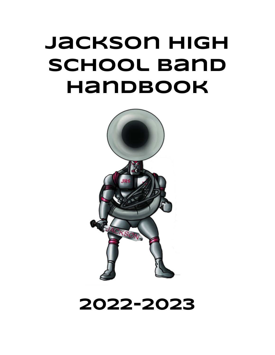# **Jackson High School Band Handbook**



## **2022-2023**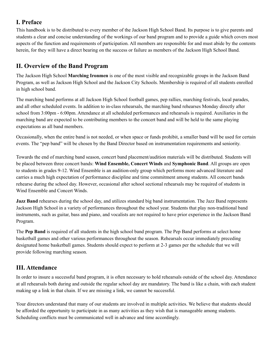## **I. Preface**

This handbook is to be distributed to every member of the Jackson High School Band. Its purpose is to give parents and students a clear and concise understanding of the workings of our band program and to provide a guide which covers most aspects of the function and requirements of participation. All members are responsible for and must abide by the contents herein, for they will have a direct bearing on the success or failure as members of the Jackson High School Band.

## **II. Overview of the Band Program**

The Jackson High School **Marching Ironmen** is one of the most visible and recognizable groups in the Jackson Band Program, as well as Jackson High School and the Jackson City Schools. Membership is required of all students enrolled in high school band.

The marching band performs at all Jackson High School football games, pep rallies, marching festivals, local parades, and all other scheduled events. In addition to in-class rehearsals, the marching band rehearses Monday directly after school from 3:00pm - 6:00pm. Attendance at all scheduled performances and rehearsals is required. Auxiliaries in the marching band are expected to be contributing members to the concert band and will be held to the same playing expectations as all band members.

Occasionally, when the entire band is not needed, or when space or funds prohibit, a smaller band will be used for certain events. The "pep band" will be chosen by the Band Director based on instrumentation requirements and seniority.

Towards the end of marching band season, concert band placement/audition materials will be distributed. Students will be placed between three concert bands: **Wind Ensemble, Concert Winds** and **Symphonic Band**. All groups are open to students in grades 9-12. Wind Ensemble is an audition-only group which performs more advanced literature and carries a much high expectation of performance discipline and time commitment among students. All concert bands rehearse during the school day. However, occasional after school sectional rehearsals may be required of students in Wind Ensemble and Concert Winds.

**Jazz Band** rehearses during the school day, and utilizes standard big band instrumentation. The Jazz Band represents Jackson High School in a variety of performances throughout the school year. Students that play non-traditional band instruments, such as guitar, bass and piano, and vocalists are not required to have prior experience in the Jackson Band Program.

The **Pep Band** is required of all students in the high school band program. The Pep Band performs at select home basketball games and other various performances throughout the season. Rehearsals occur immediately preceding designated home basketball games. Students should expect to perform at 2-3 games per the schedule that we will provide following marching season.

## **III. Attendance**

In order to insure a successful band program, it is often necessary to hold rehearsals outside of the school day. Attendance at all rehearsals both during and outside the regular school day are mandatory. The band is like a chain, with each student making up a link in that chain. If we are missing a link, we cannot be successful.

Your directors understand that many of our students are involved in multiple activities. We believe that students should be afforded the opportunity to participate in as many activities as they wish that is manageable among students. Scheduling conflicts must be communicated well in advance and time accordingly.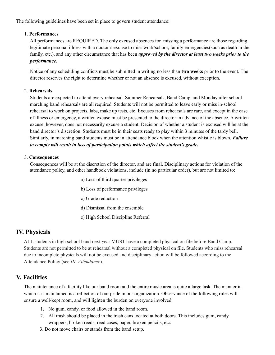The following guidelines have been set in place to govern student attendance:

#### 1. **Performances**

All performances are REQUIRED. The only excused absences for missing a performance are those regarding legitimate personal illness with a doctor's excuse to miss work/school, family emergencies(such as death in the family, etc.), and any other circumstance that has been *approved by the director at least two weeks prior to the performance.*

Notice of any scheduling conflicts must be submitted in writing no less than **two weeks** prior to the event. The director reserves the right to determine whether or not an absence is excused, without exception.

#### 2. **Rehearsals**

Students are expected to attend every rehearsal. Summer Rehearsals, Band Camp, and Monday after school marching band rehearsals are all required. Students will not be permitted to leave early or miss in-school rehearsal to work on projects, labs, make up tests, etc. Excuses from rehearsals are rare, and except in the case of illness or emergency, a written excuse must be presented to the director in advance of the absence. A written excuse, however, does not necessarily excuse a student. Decision of whether a student is excused will be at the band director's discretion. Students must be in their seats ready to play within 3 minutes of the tardy bell. Similarly, in marching band students must be in attendance block when the attention whistle is blown. *Failure to comply will result in loss of participation points which af ect the student's grade.*

#### 3. **Consequences**

Consequences will be at the discretion of the director, and are final. Disciplinary actions for violation of the attendance policy, and other handbook violations, include (in no particular order), but are not limited to:

- a) Loss of third quarter privileges
- b) Loss of performance privileges
- c) Grade reduction
- d) Dismissal from the ensemble
- e) High School Discipline Referral

#### **IV. Physicals**

ALL students in high school band next year MUST have a completed physical on file before Band Camp. Students are not permitted to be at rehearsal without a completed physical on file. Students who miss rehearsal due to incomplete physicals will not be excused and disciplinary action will be followed according to the Attendance Policy (see *III. Attendance*).

#### **V. Facilities**

The maintenance of a facility like our band room and the entire music area is quite a large task. The manner in which it is maintained is a reflection of our pride in our organization. Observance of the following rules will ensure a well-kept room, and will lighten the burden on everyone involved:

- 1. No gum, candy, or food allowed in the band room.
- 2. All trash should be placed in the trash cans located at both doors. This includes gum, candy wrappers, broken reeds, reed cases, paper, broken pencils, etc.
- 3. Do not move chairs or stands from the band setup.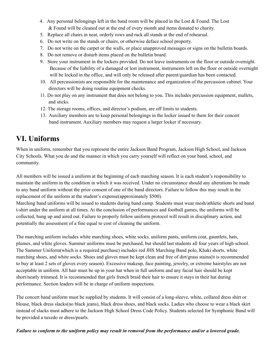- 4. Any personal belongings left in the band room will be placed in the Lost & Found. The Lost & Found will be cleaned out at the end of every month and items donated to charity.
- 5. Replace all chairs in neat, orderly rows and rack all stands at the end of rehearsal.
- 6. Do not write on the stands or chairs, or otherwise deface school property.
- 7. Do not write on the carpet or the walls, or place unapproved messages or signs on the bulletin boards.
- 8. Do not remove or disturb items placed on the bulletin board.
- 9. Store your instrument in the lockers provided. Do not leave instruments on the floor or outside overnight. Because of the liability of a damaged or lost instrument, instruments left on the floor or outside overnight will be locked in the office, and will only be released after parent/guardian has been contacted.
- 10. All percussionists are responsible for the maintenance and organization of the percussion cabinet. Your directors will be doing routine equipment checks.
- 11. Do not play on any instrument that does not belong to you. This includes percussion equipment, mallets, and sticks.
- 12. The storage rooms, offices, and director's podium, are off limits to students.
- 13. Auxiliary members are to keep personal belongings in the locker issued to them for their concert band instrument. Auxiliary members may request a larger locker if necessary.

## **VI. Uniforms**

When in uniform, remember that you represent the entire Jackson Band Program, Jackson High School, and Jackson City Schools. What you do and the manner in which you carry yourself will reflect on your band, school, and community.

All members will be issued a uniform at the beginning of each marching season. It is each student's responsibility to maintain the uniform in the condition in which it was received. Under no circumstance should any alterations be made to any band uniform without the prior consent of one of the band directors. Failure to follow this may result in the replacement of the uniform at the student's expense(approximately \$500).

Marching band uniforms will be issued to students during band camp. Students must wear mesh/athletic shorts and band t-shirt under the uniform at all times. At the conclusion of performances and football games, the uniforms will be collected, hung up and aired out. Failure to properly follow uniform protocol will result in disciplinary action, and potentially the assessment of a fine equal to cost of cleaning the uniform.

The marching uniform includes white marching shoes, white socks, uniform pants, uniform coat, gauntlets, hats, plumes, and white gloves. Summer uniforms must be purchased, but should last students all four years of high school. The Summer Uniform(which is a required purchase) includes red JHS Marching Band polo, Khaki shorts, white marching shoes, and white socks. Shoes and gloves must be kept clean and free of dirt/grass stains(it is recommended to buy at least 2 sets of gloves every season). Excessive makeup, face painting, jewelry, or extreme hairstyles are not acceptable in uniform. All hair must be up in your hat when in full uniform and any facial hair should be kept short/neatly trimmed. It is recommended that girls french braid their hair to ensure it stays in their hat during performance. Section leaders will be in charge of uniform inspections.

The concert band uniform must be supplied by students. It will consist of a long-sleeve, white, collared dress shirt or blouse, black dress slacks(no black jeans), black dress shoes, and black socks. Ladies who choose to wear a black skirt instead of slacks must adhere to the Jackson High School Dress Code Policy. Students selected for Symphonic Band will be provided a tuxedo or dress/pearls.

#### Failure to conform to the uniform policy may result in removal from the performance and/or a lowered grade.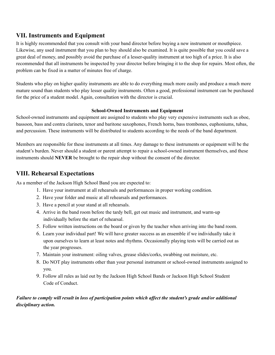## **VII. Instruments and Equipment**

It is highly recommended that you consult with your band director before buying a new instrument or mouthpiece. Likewise, any used instrument that you plan to buy should also be examined. It is quite possible that you could save a great deal of money, and possibly avoid the purchase of a lesser-quality instrument at too high of a price. It is also recommended that all instruments be inspected by your director before bringing it to the shop for repairs. Most often, the problem can be fixed in a matter of minutes free of charge.

Students who play on higher quality instruments are able to do everything much more easily and produce a much more mature sound than students who play lesser quality instruments. Often a good, professional instrument can be purchased for the price of a student model. Again, consultation with the director is crucial.

#### **School-Owned Instruments and Equipment**

School-owned instruments and equipment are assigned to students who play very expensive instruments such as oboe, bassoon, bass and contra clarinets, tenor and baritone saxophones, French horns, bass trombones, euphoniums, tubas, and percussion. These instruments will be distributed to students according to the needs of the band department.

Members are responsible for these instruments at all times. Any damage to these instruments or equipment will be the student's burden. Never should a student or parent attempt to repair a school-owned instrument themselves, and these instruments should **NEVER** be brought to the repair shop without the consent of the director.

## **VIII. Rehearsal Expectations**

As a member of the Jackson High School Band you are expected to:

- 1. Have your instrument at all rehearsals and performances in proper working condition.
- 2. Have your folder and music at all rehearsals and performances.
- 3. Have a pencil at your stand at all rehearsals.
- 4. Arrive in the band room before the tardy bell, get out music and instrument, and warm-up individually before the start of rehearsal.
- 5. Follow written instructions on the board or given by the teacher when arriving into the band room.
- 6. Learn your individual part! We will have greater success as an ensemble if we individually take it upon ourselves to learn at least notes and rhythms. Occasionally playing tests will be carried out as the year progresses.
- 7. Maintain your instrument: oiling valves, grease slides/corks, swabbing out moisture, etc.
- 8. Do NOT play instruments other than your personal instrument or school-owned instruments assigned to you.
- 9. Follow all rules as laid out by the Jackson High School Bands or Jackson High School Student Code of Conduct.

#### Failure to comply will result in loss of participation points which affect the student's grade and/or additional *disciplinary action.*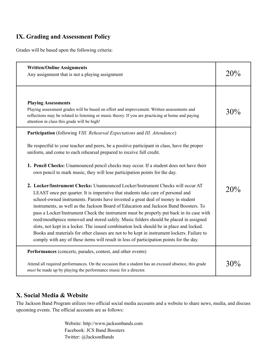## **IX. Grading and Assessment Policy**

Grades will be based upon the following criteria:

| <b>Written/Online Assignments</b><br>Any assignment that is not a playing assignment                                                                                                                                                                                                                                                                                                                                                                                                                                                                                                                                                                                                                                                                                                                                                                                                                                                                                                                                                                                                                                                                                                                                                                           | 20% |
|----------------------------------------------------------------------------------------------------------------------------------------------------------------------------------------------------------------------------------------------------------------------------------------------------------------------------------------------------------------------------------------------------------------------------------------------------------------------------------------------------------------------------------------------------------------------------------------------------------------------------------------------------------------------------------------------------------------------------------------------------------------------------------------------------------------------------------------------------------------------------------------------------------------------------------------------------------------------------------------------------------------------------------------------------------------------------------------------------------------------------------------------------------------------------------------------------------------------------------------------------------------|-----|
| <b>Playing Assessments</b><br>Playing assessment grades will be based on effort and improvement. Written assessments and<br>reflections may be related to listening or music theory. If you are practicing at home and paying<br>attention in class this grade will be high!                                                                                                                                                                                                                                                                                                                                                                                                                                                                                                                                                                                                                                                                                                                                                                                                                                                                                                                                                                                   | 30% |
| Participation (following VIII. Rehearsal Expectations and III. Attendance)<br>Be respectful to your teacher and peers, be a positive participant in class, have the proper<br>uniform, and come to each rehearsal prepared to receive full credit.<br><b>1. Pencil Checks:</b> Unannounced pencil checks may occur. If a student does not have their<br>own pencil to mark music, they will lose participation points for the day.<br>2. Locker/Instrument Checks: Unannounced Locker/Instrument Checks will occur AT<br>LEAST once per quarter. It is imperative that students take care of personal and<br>school-owned instruments. Parents have invested a great deal of money in student<br>instruments, as well as the Jackson Board of Education and Jackson Band Boosters. To<br>pass a Locker/Instrument Check the instrument must be properly put back in its case with<br>reed/mouthpiece removed and stored safely. Music folders should be placed in assigned<br>slots, not kept in a locker. The issued combination lock should be in place and locked.<br>Books and materials for other classes are not to be kept in instrument lockers. Failure to<br>comply with any of these items will result in loss of participation points for the day. | 20% |
| Performances (concerts, parades, contest, and other events)<br>Attend all required performances. On the occasion that a student has an excused absence, this grade<br><i>must</i> be made up by playing the performance music for a director.                                                                                                                                                                                                                                                                                                                                                                                                                                                                                                                                                                                                                                                                                                                                                                                                                                                                                                                                                                                                                  | 30% |

## **X. Social Media & Website**

The Jackson Band Program utilizes two official social media accounts and a website to share news, media, and discuss upcoming events. The official accounts are as follows:

> Website: http://www.jacksonbands.com Facebook: JCS Band Boosters Twitter: @JacksonBands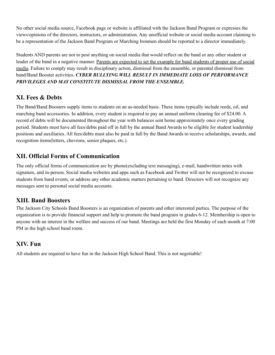No other social media source, Facebook page or website is affiliated with the Jackson Band Program or expresses the views/opinions of the directors, instructors, or administration. Any unofficial website or social media account claiming to be a representation of the Jackson Band Program or Marching Ironmen should be reported to a director immediately.

Students AND parents are not to post anything on social media that would reflect on the band or any other student or leader of the band in a negative manner. Parents are expected to set the example for band students of proper use of social media. Failure to comply may result in disciplinary action, dismissal from the ensemble, or parental dismissal from band/Band Booster activities. *CYBER BULLYING WILL RESULT IN IMMEDIATE LOSS OF PERFORMANCE PRIVILEGES AND MAY CONSTITUTE DISMISSAL FROM THE ENSEMBLE.*

## **XI. Fees & Debts**

The Band/Band Boosters supply items to students on an as-needed basis. These items typically include reeds, oil, and marching band accessories. In addition, every student is required to pay an annual uniform cleaning fee of \$24.00. A record of debts will be documented throughout the year with balances sent home approximately once every grading period. Students must have all fees/debts paid off in full by the annual Band Awards to be eligible for student leadership positions and auxiliaries. All fees/debts must also be paid in full by the Band Awards to receive scholarships, awards, and recognition items(letters, chevrons, senior plaques, etc.).

## **XII. Official Forms of Communication**

The only official forms of communication are by phone(excluding text messaging), e-mail, handwritten notes with signature, and in-person. Social media websites and apps such as Facebook and Twitter will not be recognized to excuse students from band events, or address any other academic matters pertaining to band. Directors will not recognize any messages sent to personal social media accounts.

## **XIII. Band Boosters**

The Jackson City Schools Band Boosters is an organization of parents and other interested parties. The purpose of the organization is to provide financial support and help to promote the band program in grades 6-12. Membership is open to anyone with an interest in the welfare and success of our band. Meetings are held the first Monday of each month at 7:00 PM in the high school band room.

## **XIV. Fun**

All students are required to have fun in the Jackson High School Band. This is not negotiable!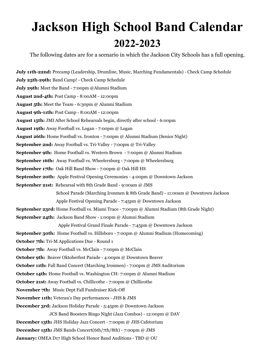## **Jackson High School Band Calendar 2022-2023**

The following dates are for a scenario in which the Jackson City Schools has a full opening.

**July 11th-22nd:** Precamp (Leadership, Drumline, Music, Marching Fundamentals) - Check Camp Schedule **July 25th-29th:** Band Camp! - Check Camp Schedule **July 29th:** Meet the Band - 7:00pm @Alumni Stadium **August 2nd-4th:** Post Camp - 8:00AM - 12:00pm **August 5th:** Meet the Team - 6:30pm @ Alumni Stadium **August 9th-11th:** Post Camp - 8:00AM - 12:00pm **August 15th:** JMI After School Rehearsals begin, directly after school - 6:00pm **August 19th:** Away Football vs. Logan - 7:00pm @ Logan **August 26th:** Home Football vs. Ironton - 7:00pm @ Alumni Stadium (Senior Night) **September 2nd:** Away Football vs. Tri-Valley - 7:00pm @ Tri-Valley **September 9th:** Home Football vs. Western Brown - 7:00pm @ Alumni Stadium **September 16th:** Away Football vs. Wheelersburg - 7:00pm @ Wheelersburg **September 17th:** Oak Hill Band Show - 7:00pm @ Oak Hill HS **September 20th:** Apple Festival Opening Ceremonies - 4:00pm @ Downtown Jackson **September 21st:** Rehearsal with 8th Grade Band - 9:00am @ JMS School Parade (Marching Ironmen & 8th Grade Band) - 11:00am @ Downtown Jackson Apple Festival Opening Parade - 7:45pm @ Downtown Jackson **September 23rd:** Home Football vs. Miami Trace - 7:00pm @ Alumni Stadium (8th Grade Night) **September 24th:** Jackson Band Show - 1:00pm @ Alumni Stadium Apple Festival Grand Finale Parade - 7:45pm @ Downtown Jackson **September 30th:** Home Football vs. Hillsboro - 7:00pm @ Alumni Stadium (Homecoming) **October 7th:** Tri-M Applications Due - Round 1 **October 7th:** Away Football vs. McClain - 7:00pm @ McClain **October 9th:** Beaver Oktoberfest Parade - 4:00pm @ Downtown Beaver **October 11th:** Fall Band Concert (Marching Ironmen) - 7:00pm @ JMS Auditorium **October 14th:** Home Football vs. Washington CH- 7:00pm @ Alumni Stadium **October 21st:** Away Football vs. Chillicothe - 7:00pm @ Chillicothe **November 7th:** Music Dept Fall Fundraiser Kick-Off **November 11th:** Veteran's Day performances - JHS & JMS **December 3rd:** Jackson Holiday Parade - 5:45pm @ Downtown Jackson JCS Band Boosters Bingo Night (Jazz Combos) - 12:00pm @ DAV **December 13th:** JHS Holiday Jazz Concert - 7:00pm @ JHS Cafetorium **December 15th:** JMS Bands Concert(6th/7th/8th) - 7:00pm @ JMS **January:** OMEA D17 High School Honor Band Auditions - TBD @ OU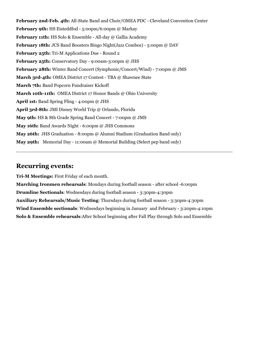**February 2nd-Feb. 4th:** All-State Band and Choir/OMEA PDC - Cleveland Convention Center **February 9th:** HS Eisteddfod - 5:00pm/6:00pm @ Markay **February 11th:** HS Solo & Ensemble - All-day @ Gallia Academy **February 18th:** JCS Band Boosters Bingo Night(Jazz Combos) - 5:00pm @ DAV **February 25th:** Tri-M Applications Due - Round 2 **February 25th:** Conservatory Day - 9:00am-3:00pm @ JHS **February 28th:** Winter Band Concert (Symphonic/Concert/Wind) - 7:00pm @ JMS **March 3rd-4th:** OMEA District 17 Contest - TBA @ Shawnee State **March 7th:** Band Popcorn Fundraiser Kickoff **March 10th-11th:** OMEA District 17 Honor Bands @ Ohio University **April 1st:** Band Spring Fling - 4:00pm @ JHS **April 3rd-8th:** JMI Disney World Trip @ Orlando, Florida **May 9th:** HS & 8th Grade Spring Band Concert - 7:00pm @ JMS **May 16th:** Band Awards Night - 6:00pm @ JHS Commons **May 26th:** JHS Graduation - 8:00pm @ Alumni Stadium (Graduation Band only) **May 29th:** Memorial Day - 11:00am @ Memorial Building (Select pep band only)

## **Recurring events:**

**Tri-M Meetings:** First Friday of each month.

**Marching Ironmen rehearsals**: Mondays during football season - after school -6:00pm **Drumline Sectionals**: Wednesdays during football season - 3:30pm-4:30pm **Auxiliary Rehearsals/Music Testing**: Thursdays during football season - 3:30pm-4:30pm **Wind Ensemble sectionals**: Wednesdays beginning in January and February - 3:20pm-4:10pm **Solo & Ensemble rehearsals**:After School beginning after Fall Play through Solo and Ensemble

 $\_$  ,  $\_$  ,  $\_$  ,  $\_$  ,  $\_$  ,  $\_$  ,  $\_$  ,  $\_$  ,  $\_$  ,  $\_$  ,  $\_$  ,  $\_$  ,  $\_$  ,  $\_$  ,  $\_$  ,  $\_$  ,  $\_$  ,  $\_$  ,  $\_$  ,  $\_$  ,  $\_$  ,  $\_$  ,  $\_$  ,  $\_$  ,  $\_$  ,  $\_$  ,  $\_$  ,  $\_$  ,  $\_$  ,  $\_$  ,  $\_$  ,  $\_$  ,  $\_$  ,  $\_$  ,  $\_$  ,  $\_$  ,  $\_$  ,